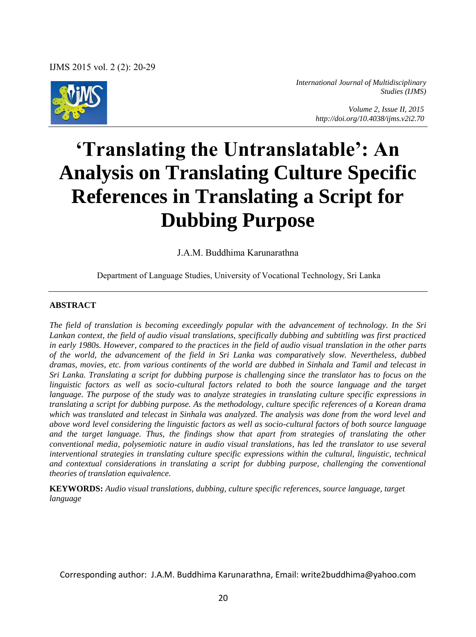

*International Journal of Multidisciplinary Studies (IJMS)* 

> *Volume 2, Issue II, 2015 http://doi.org/10.4038/ijms.v2i2.70*

# **'Translating the Untranslatable': An Analysis on Translating Culture Specific References in Translating a Script for Dubbing Purpose**

J.A.M. Buddhima Karunarathna

Department of Language Studies, University of Vocational Technology, Sri Lanka

#### **ABSTRACT**

*The field of translation is becoming exceedingly popular with the advancement of technology. In the Sri Lankan context, the field of audio visual translations, specifically dubbing and subtitling was first practiced in early 1980s. However, compared to the practices in the field of audio visual translation in the other parts of the world, the advancement of the field in Sri Lanka was comparatively slow. Nevertheless, dubbed dramas, movies, etc. from various continents of the world are dubbed in Sinhala and Tamil and telecast in Sri Lanka. Translating a script for dubbing purpose is challenging since the translator has to focus on the linguistic factors as well as socio-cultural factors related to both the source language and the target language. The purpose of the study was to analyze strategies in translating culture specific expressions in translating a script for dubbing purpose. As the methodology, culture specific references of a Korean drama which was translated and telecast in Sinhala was analyzed. The analysis was done from the word level and above word level considering the linguistic factors as well as socio-cultural factors of both source language and the target language. Thus, the findings show that apart from strategies of translating the other conventional media, polysemiotic nature in audio visual translations, has led the translator to use several interventional strategies in translating culture specific expressions within the cultural, linguistic, technical and contextual considerations in translating a script for dubbing purpose, challenging the conventional theories of translation equivalence.* 

**KEYWORDS:** *Audio visual translations, dubbing, culture specific references, source language, target language*

Corresponding author: J.A.M. Buddhima Karunarathna, Email: write2buddhima@yahoo.com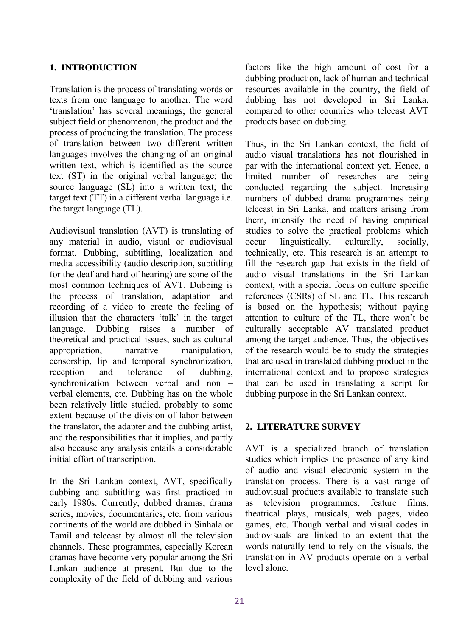### **1. INTRODUCTION**

Translation is the process of translating words or texts from one language to another. The word 'translation' has several meanings; the general subject field or phenomenon, the product and the process of producing the translation. The process of translation between two different written languages involves the changing of an original written text, which is identified as the source text (ST) in the original verbal language; the source language (SL) into a written text; the target text (TT) in a different verbal language i.e. the target language (TL).

Audiovisual translation (AVT) is translating of any material in audio, visual or audiovisual format. Dubbing, subtitling, localization and media accessibility (audio description, subtitling for the deaf and hard of hearing) are some of the most common techniques of AVT. Dubbing is the process of translation, adaptation and recording of a video to create the feeling of illusion that the characters 'talk' in the target language. Dubbing raises a number of theoretical and practical issues, such as cultural appropriation, narrative manipulation, censorship, lip and temporal synchronization, reception and tolerance of dubbing, synchronization between verbal and non – verbal elements, etc. Dubbing has on the whole been relatively little studied, probably to some extent because of the division of labor between the translator, the adapter and the dubbing artist, and the responsibilities that it implies, and partly also because any analysis entails a considerable initial effort of transcription.

In the Sri Lankan context, AVT, specifically dubbing and subtitling was first practiced in early 1980s. Currently, dubbed dramas, drama series, movies, documentaries, etc. from various continents of the world are dubbed in Sinhala or Tamil and telecast by almost all the television channels. These programmes, especially Korean dramas have become very popular among the Sri Lankan audience at present. But due to the complexity of the field of dubbing and various

factors like the high amount of cost for a dubbing production, lack of human and technical resources available in the country, the field of dubbing has not developed in Sri Lanka, compared to other countries who telecast AVT products based on dubbing.

Thus, in the Sri Lankan context, the field of audio visual translations has not flourished in par with the international context yet. Hence, a limited number of researches are being conducted regarding the subject. Increasing numbers of dubbed drama programmes being telecast in Sri Lanka, and matters arising from them, intensify the need of having empirical studies to solve the practical problems which occur linguistically, culturally, socially, technically, etc. This research is an attempt to fill the research gap that exists in the field of audio visual translations in the Sri Lankan context, with a special focus on culture specific references (CSRs) of SL and TL. This research is based on the hypothesis; without paying attention to culture of the TL, there won't be culturally acceptable AV translated product among the target audience. Thus, the objectives of the research would be to study the strategies that are used in translated dubbing product in the international context and to propose strategies that can be used in translating a script for dubbing purpose in the Sri Lankan context.

#### **2. LITERATURE SURVEY**

AVT is a specialized branch of translation studies which implies the presence of any kind of audio and visual electronic system in the translation process. There is a vast range of audiovisual products available to translate such as television programmes, feature films, theatrical plays, musicals, web pages, video games, etc. Though verbal and visual codes in audiovisuals are linked to an extent that the words naturally tend to rely on the visuals, the translation in AV products operate on a verbal level alone.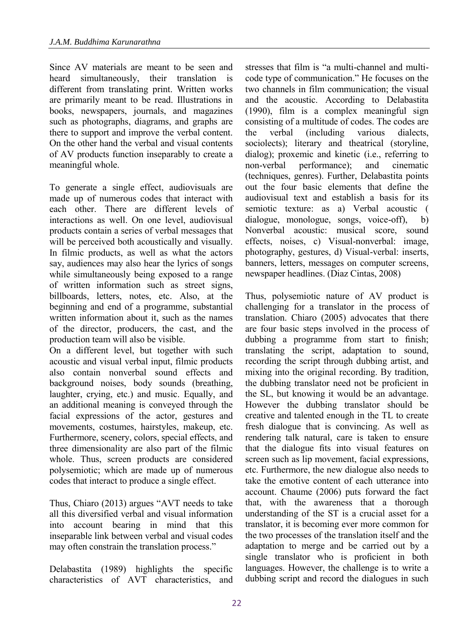Since AV materials are meant to be seen and heard simultaneously, their translation is different from translating print. Written works are primarily meant to be read. Illustrations in books, newspapers, journals, and magazines such as photographs, diagrams, and graphs are there to support and improve the verbal content. On the other hand the verbal and visual contents of AV products function inseparably to create a meaningful whole.

To generate a single effect, audiovisuals are made up of numerous codes that interact with each other. There are different levels of interactions as well. On one level, audiovisual products contain a series of verbal messages that will be perceived both acoustically and visually. In filmic products, as well as what the actors say, audiences may also hear the lyrics of songs while simultaneously being exposed to a range of written information such as street signs, billboards, letters, notes, etc. Also, at the beginning and end of a programme, substantial written information about it, such as the names of the director, producers, the cast, and the production team will also be visible.

On a different level, but together with such acoustic and visual verbal input, filmic products also contain nonverbal sound effects and background noises, body sounds (breathing, laughter, crying, etc.) and music. Equally, and an additional meaning is conveyed through the facial expressions of the actor, gestures and movements, costumes, hairstyles, makeup, etc. Furthermore, scenery, colors, special effects, and three dimensionality are also part of the filmic whole. Thus, screen products are considered polysemiotic; which are made up of numerous codes that interact to produce a single effect.

Thus, Chiaro (2013) argues "AVT needs to take all this diversified verbal and visual information into account bearing in mind that this inseparable link between verbal and visual codes may often constrain the translation process."

Delabastita (1989) highlights the specific characteristics of AVT characteristics, and stresses that film is "a multi-channel and multicode type of communication." He focuses on the two channels in film communication; the visual and the acoustic. According to Delabastita (1990), film is a complex meaningful sign consisting of a multitude of codes. The codes are the verbal (including various dialects, sociolects); literary and theatrical (storyline, dialog); proxemic and kinetic (i.e., referring to non-verbal performance); and cinematic (techniques, genres). Further, Delabastita points out the four basic elements that define the audiovisual text and establish a basis for its semiotic texture: as a) Verbal acoustic ( dialogue, monologue, songs, voice-off), b) Nonverbal acoustic: musical score, sound effects, noises, c) Visual-nonverbal: image, photography, gestures, d) Visual-verbal: inserts, banners, letters, messages on computer screens, newspaper headlines. (Diaz Cintas, 2008)

Thus, polysemiotic nature of AV product is challenging for a translator in the process of translation. Chiaro (2005) advocates that there are four basic steps involved in the process of dubbing a programme from start to finish; translating the script, adaptation to sound, recording the script through dubbing artist, and mixing into the original recording. By tradition, the dubbing translator need not be proficient in the SL, but knowing it would be an advantage. However the dubbing translator should be creative and talented enough in the TL to create fresh dialogue that is convincing. As well as rendering talk natural, care is taken to ensure that the dialogue fits into visual features on screen such as lip movement, facial expressions, etc. Furthermore, the new dialogue also needs to take the emotive content of each utterance into account. Chaume (2006) puts forward the fact that, with the awareness that a thorough understanding of the ST is a crucial asset for a translator, it is becoming ever more common for the two processes of the translation itself and the adaptation to merge and be carried out by a single translator who is proficient in both languages. However, the challenge is to write a dubbing script and record the dialogues in such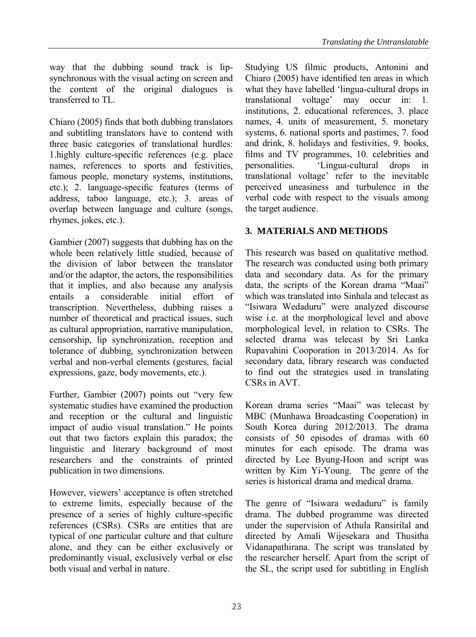way that the dubbing sound track is lipsynchronous with the visual acting on screen and the content of the original dialogues is transferred to TL.

Chiaro (2005) finds that both dubbing translators and subtitling translators have to contend with three basic categories of translational hurdles: 1.highly culture-specific references (e.g. place names, references to sports and festivities, famous people, monetary systems, institutions, etc.); 2. language-specific features (terms of address, taboo language, etc.); 3. areas of overlap between language and culture (songs, rhymes, jokes, etc.).

Gambier (2007) suggests that dubbing has on the whole been relatively little studied, because of the division of labor between the translator and/or the adaptor, the actors, the responsibilities that it implies, and also because any analysis entails a considerable initial effort of transcription. Nevertheless, dubbing raises a number of theoretical and practical issues, such as cultural appropriation, narrative manipulation, censorship, lip synchronization, reception and tolerance of dubbing, synchronization between verbal and non-verbal elements (gestures, facial expressions, gaze, body movements, etc.).

Further, Gambier (2007) points out "very few systematic studies have examined the production and reception or the cultural and linguistic impact of audio visual translation." He points out that two factors explain this paradox; the linguistic and literary background of most researchers and the constraints of printed publication in two dimensions.

However, viewers' acceptance is often stretched to extreme limits, especially because of the presence of a series of highly culture-specific references (CSRs). CSRs are entities that are typical of one particular culture and that culture alone, and they can be either exclusively or predominantly visual, exclusively verbal or else both visual and verbal in nature.

Studying US filmic products, Antonini and Chiaro (2005) have identified ten areas in which what they have labelled 'lingua-cultural drops in translational voltage' may occur in: 1. institutions, 2. educational references, 3. place names, 4. units of measurement, 5. monetary systems, 6. national sports and pastimes, 7. food and drink, 8. holidays and festivities, 9. books, films and TV programmes, 10. celebrities and personalities. 'Lingua-cultural drops in translational voltage' refer to the inevitable perceived uneasiness and turbulence in the verbal code with respect to the visuals among the target audience.

## **3. MATERIALS AND METHODS**

This research was based on qualitative method. The research was conducted using both primary data and secondary data. As for the primary data, the scripts of the Korean drama "Maai" which was translated into Sinhala and telecast as "Isiwara Wedaduru" were analyzed discourse wise i.e. at the morphological level and above morphological level, in relation to CSRs. The selected drama was telecast by Sri Lanka Rupavahini Cooporation in 2013/2014. As for secondary data, library research was conducted to find out the strategies used in translating CSRs in AVT.

Korean drama series "Maai" was telecast by MBC (Munhawa Broadcasting Cooperation) in South Korea during 2012/2013. The drama consists of 50 episodes of dramas with 60 minutes for each episode. The drama was directed by Lee Byung-Hoon and script was written by Kim Yi-Young. The genre of the series is historical drama and medical drama.

The genre of "Isiwara wedaduru" is family drama. The dubbed programme was directed under the supervision of Athula Ransirilal and directed by Amali Wijesekara and Thusitha Vidanapathirana. The script was translated by the researcher herself. Apart from the script of the SL, the script used for subtitling in English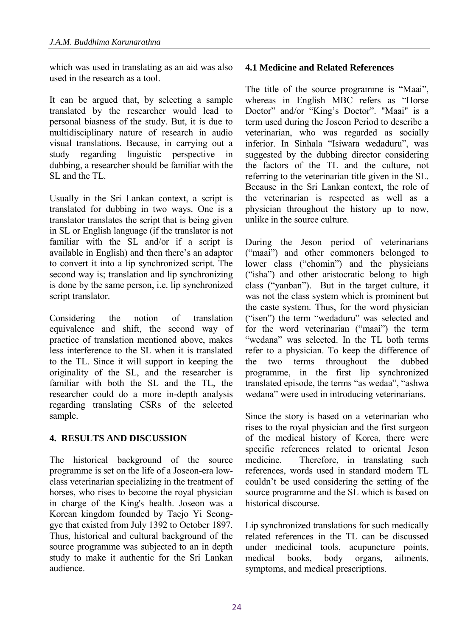which was used in translating as an aid was also used in the research as a tool.

It can be argued that, by selecting a sample translated by the researcher would lead to personal biasness of the study. But, it is due to multidisciplinary nature of research in audio visual translations. Because, in carrying out a study regarding linguistic perspective in dubbing, a researcher should be familiar with the SL and the TL.

Usually in the Sri Lankan context, a script is translated for dubbing in two ways. One is a translator translates the script that is being given in SL or English language (if the translator is not familiar with the SL and/or if a script is available in English) and then there's an adaptor to convert it into a lip synchronized script. The second way is; translation and lip synchronizing is done by the same person, i.e. lip synchronized script translator.

Considering the notion of translation equivalence and shift, the second way of practice of translation mentioned above, makes less interference to the SL when it is translated to the TL. Since it will support in keeping the originality of the SL, and the researcher is familiar with both the SL and the TL, the researcher could do a more in-depth analysis regarding translating CSRs of the selected sample.

## **4. RESULTS AND DISCUSSION**

The historical background of the source programme is set on the life of a Joseon-era lowclass veterinarian specializing in the treatment of horses, who rises to become the royal physician in charge of the King's health. Joseon was a Korean kingdom founded by Taejo Yi Seonggye that existed from July 1392 to October 1897. Thus, historical and cultural background of the source programme was subjected to an in depth study to make it authentic for the Sri Lankan audience.

## **4.1 Medicine and Related References**

The title of the source programme is "Maai", whereas in English MBC refers as "Horse Doctor" and/or "King's Doctor". "Maai" is a term used during the Joseon Period to describe a veterinarian, who was regarded as socially inferior. In Sinhala "Isiwara wedaduru", was suggested by the dubbing director considering the factors of the TL and the culture, not referring to the veterinarian title given in the SL. Because in the Sri Lankan context, the role of the veterinarian is respected as well as a physician throughout the history up to now, unlike in the source culture.

During the Jeson period of veterinarians ("maai") and other commoners belonged to lower class ("chomin") and the physicians ("isha") and other aristocratic belong to high class ("yanban"). But in the target culture, it was not the class system which is prominent but the caste system. Thus, for the word physician ("isen") the term "wedaduru" was selected and for the word veterinarian ("maai") the term "wedana" was selected. In the TL both terms refer to a physician. To keep the difference of the two terms throughout the dubbed programme, in the first lip synchronized translated episode, the terms "as wedaa", "ashwa wedana" were used in introducing veterinarians.

Since the story is based on a veterinarian who rises to the royal physician and the first surgeon of the medical history of Korea, there were specific references related to oriental Jeson medicine. Therefore, in translating such references, words used in standard modern TL couldn't be used considering the setting of the source programme and the SL which is based on historical discourse.

Lip synchronized translations for such medically related references in the TL can be discussed under medicinal tools, acupuncture points, medical books body organs ailments symptoms, and medical prescriptions.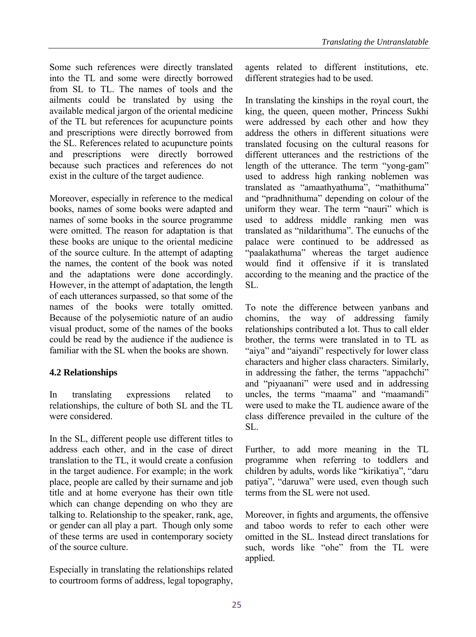Some such references were directly translated into the TL and some were directly borrowed from SL to TL. The names of tools and the ailments could be translated by using the available medical jargon of the oriental medicine of the TL but references for acupuncture points and prescriptions were directly borrowed from the SL. References related to acupuncture points and prescriptions were directly borrowed because such practices and references do not exist in the culture of the target audience.

Moreover, especially in reference to the medical books, names of some books were adapted and names of some books in the source programme were omitted. The reason for adaptation is that these books are unique to the oriental medicine of the source culture. In the attempt of adapting the names, the content of the book was noted and the adaptations were done accordingly. However, in the attempt of adaptation, the length of each utterances surpassed, so that some of the names of the books were totally omitted. Because of the polysemiotic nature of an audio visual product, some of the names of the books could be read by the audience if the audience is familiar with the SL when the books are shown.

## **4.2 Relationships**

In translating expressions related to relationships, the culture of both SL and the TL were considered.

In the SL, different people use different titles to address each other, and in the case of direct translation to the TL, it would create a confusion in the target audience. For example; in the work place, people are called by their surname and job title and at home everyone has their own title which can change depending on who they are talking to. Relationship to the speaker, rank, age, or gender can all play a part. Though only some of these terms are used in contemporary society of the source culture.

Especially in translating the relationships related to courtroom forms of address, legal topography, agents related to different institutions, etc. different strategies had to be used.

In translating the kinships in the royal court, the king, the queen, queen mother, Princess Sukhi were addressed by each other and how they address the others in different situations were translated focusing on the cultural reasons for different utterances and the restrictions of the length of the utterance. The term "yong-gam" used to address high ranking noblemen was translated as "amaathyathuma", "mathithuma" and "pradhnithuma" depending on colour of the uniform they wear. The term "nauri" which is used to address middle ranking men was translated as "nildarithuma". The eunuchs of the palace were continued to be addressed as "paalakathuma" whereas the target audience would find it offensive if it is translated according to the meaning and the practice of the SL.

To note the difference between yanbans and chomins, the way of addressing family relationships contributed a lot. Thus to call elder brother, the terms were translated in to TL as "aiya" and "aiyandi" respectively for lower class characters and higher class characters. Similarly, in addressing the father, the terms "appachchi" and "piyaanani" were used and in addressing uncles, the terms "maama" and "maamandi" were used to make the TL audience aware of the class difference prevailed in the culture of the SL.

Further, to add more meaning in the TL programme when referring to toddlers and children by adults, words like "kirikatiya", "daru patiya", "daruwa" were used, even though such terms from the SL were not used.

Moreover, in fights and arguments, the offensive and taboo words to refer to each other were omitted in the SL. Instead direct translations for such, words like "ohe" from the TL were applied.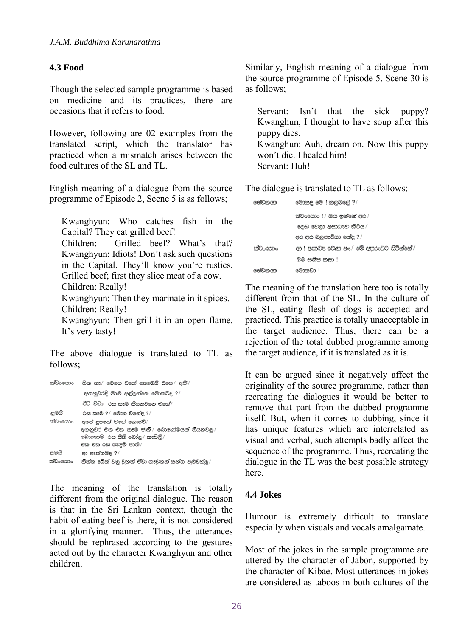### **4.3 Food**

Though the selected sample programme is based on medicine and its practices, there are occasions that it refers to food.

However, following are 02 examples from the translated script, which the translator has practiced when a mismatch arises between the food cultures of the SL and TL.

English meaning of a dialogue from the source programme of Episode 2, Scene 5 is as follows;

Kwanghyun: Who catches fish in the Capital? They eat grilled beef! Children: Grilled beef? What's that? Kwanghyun: Idiots! Don't ask such questions in the Capital. They'll know you're rustics. Grilled beef; first they slice meat of a cow. Children: Really! Kwanghyun: Then they marinate in it spices. Children: Really! Kwanghyun: Then grill it in an open flame. It's very tasty!

The above dialogue is translated to TL as follows;

| ක්වංෂයාං | ම්න නෑ/ මෙහෙ වගේ නෙමේයිි එහෙ/ අපිි/                                                                      |
|----------|----------------------------------------------------------------------------------------------------------|
|          | අගනුවරදි මාළු අල්ලන්නෙ මොකටද ?/                                                                          |
|          | ඊට වඩා - රස කෑම තියනවනෙ එහේ/                                                                             |
| ළමයි     | රස කළම ?/ මොන වගේළ ?/                                                                                    |
| ක්වංශයාං | අපේ ළපතේ වගේ නොවේ/                                                                                       |
|          | අගනවර එක එක කෑම ජාති $\hspace{0.1 cm}/\hspace{0.1 cm}$ මොහෝමයක් තියනවල $\hspace{0.1 cm}/\hspace{0.1 cm}$ |
|          | බොහොම රස සීනි බෝතු/ කැවිඬි/                                                                              |
|          | එක එක රස බැඳුම් ජාති/                                                                                    |
| ළමයි     | පා ඇත්තමද ? <i>!</i>                                                                                     |
| ක්වංෂයාං | තිත්ත බේත් වල වනත් ඒවා ගෑවනත් කන්න පුළුවන්ලු/                                                            |

The meaning of the translation is totally different from the original dialogue. The reason is that in the Sri Lankan context, though the habit of eating beef is there, it is not considered in a glorifying manner. Thus, the utterances should be rephrased according to the gestures acted out by the character Kwanghyun and other children.

Similarly, English meaning of a dialogue from the source programme of Episode 5, Scene 30 is as follows;

Servant: Isn't that the sick puppy? Kwanghun, I thought to have soup after this puppy dies. Kwanghun: Auh, dream on. Now this puppy won't die. I healed him! Servant: Huh!

The dialogue is translated to TL as follows;

| සේවකයා   | මොකළ මේ ! කළබසල් ? <i>!</i>              |
|----------|------------------------------------------|
|          | ක්වංශයාං ! / ඔය ඉන්නේ අර /               |
|          | ලෙඩ වෙලා අසාධයව හිටිය /                  |
|          | අර අර බලුපැටියා නේද ?/                   |
| සාවංශයාං | ආ ! අසාධය වෙලා නෑ / මේ අපරුවට සිටින්නේ / |
|          | මම සනිප කළා !                            |
| සේවකයා   | මොනවා !                                  |
|          |                                          |

The meaning of the translation here too is totally different from that of the SL. In the culture of the SL, eating flesh of dogs is accepted and practiced. This practice is totally unacceptable in the target audience. Thus, there can be a rejection of the total dubbed programme among the target audience, if it is translated as it is.

It can be argued since it negatively affect the originality of the source programme, rather than recreating the dialogues it would be better to remove that part from the dubbed programme itself. But, when it comes to dubbing, since it has unique features which are interrelated as visual and verbal, such attempts badly affect the sequence of the programme. Thus, recreating the dialogue in the TL was the best possible strategy here.

## **4.4 Jokes**

Humour is extremely difficult to translate especially when visuals and vocals amalgamate.

Most of the jokes in the sample programme are uttered by the character of Jabon, supported by the character of Kibae. Most utterances in jokes are considered as taboos in both cultures of the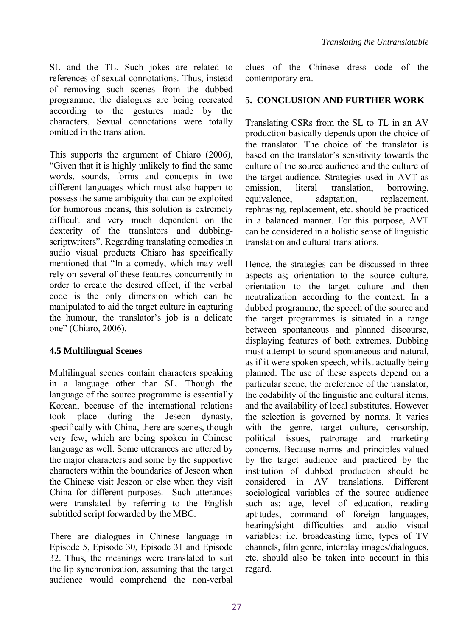SL and the TL. Such jokes are related to references of sexual connotations. Thus, instead of removing such scenes from the dubbed programme, the dialogues are being recreated according to the gestures made by the characters. Sexual connotations were totally omitted in the translation.

This supports the argument of Chiaro (2006), "Given that it is highly unlikely to find the same words, sounds, forms and concepts in two different languages which must also happen to possess the same ambiguity that can be exploited for humorous means, this solution is extremely difficult and very much dependent on the dexterity of the translators and dubbingscriptwriters". Regarding translating comedies in audio visual products Chiaro has specifically mentioned that "In a comedy, which may well rely on several of these features concurrently in order to create the desired effect, if the verbal code is the only dimension which can be manipulated to aid the target culture in capturing the humour, the translator's job is a delicate one" (Chiaro, 2006).

## **4.5 Multilingual Scenes**

Multilingual scenes contain characters speaking in a language other than SL. Though the language of the source programme is essentially Korean, because of the international relations took place during the Jeseon dynasty, specifically with China, there are scenes, though very few, which are being spoken in Chinese language as well. Some utterances are uttered by the major characters and some by the supportive characters within the boundaries of Jeseon when the Chinese visit Jeseon or else when they visit China for different purposes. Such utterances were translated by referring to the English subtitled script forwarded by the MBC.

There are dialogues in Chinese language in Episode 5, Episode 30, Episode 31 and Episode 32. Thus, the meanings were translated to suit the lip synchronization, assuming that the target audience would comprehend the non-verbal clues of the Chinese dress code of the contemporary era.

## **5. CONCLUSION AND FURTHER WORK**

Translating CSRs from the SL to TL in an AV production basically depends upon the choice of the translator. The choice of the translator is based on the translator's sensitivity towards the culture of the source audience and the culture of the target audience. Strategies used in AVT as omission, literal translation, borrowing, equivalence, adaptation, replacement, rephrasing, replacement, etc. should be practiced in a balanced manner. For this purpose, AVT can be considered in a holistic sense of linguistic translation and cultural translations.

Hence, the strategies can be discussed in three aspects as; orientation to the source culture, orientation to the target culture and then neutralization according to the context. In a dubbed programme, the speech of the source and the target programmes is situated in a range between spontaneous and planned discourse, displaying features of both extremes. Dubbing must attempt to sound spontaneous and natural, as if it were spoken speech, whilst actually being planned. The use of these aspects depend on a particular scene, the preference of the translator, the codability of the linguistic and cultural items, and the availability of local substitutes. However the selection is governed by norms. It varies with the genre, target culture, censorship, political issues, patronage and marketing concerns. Because norms and principles valued by the target audience and practiced by the institution of dubbed production should be considered in AV translations. Different sociological variables of the source audience such as; age, level of education, reading aptitudes, command of foreign languages, hearing/sight difficulties and audio visual variables: i.e. broadcasting time, types of TV channels, film genre, interplay images/dialogues, etc. should also be taken into account in this regard.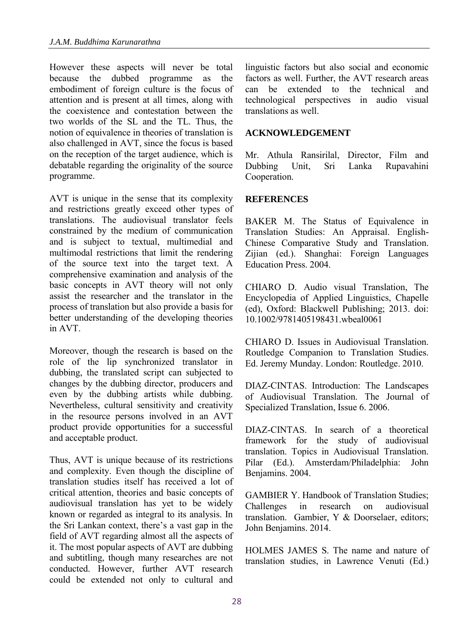However these aspects will never be total because the dubbed programme as the embodiment of foreign culture is the focus of attention and is present at all times, along with the coexistence and contestation between the two worlds of the SL and the TL. Thus, the notion of equivalence in theories of translation is also challenged in AVT, since the focus is based on the reception of the target audience, which is debatable regarding the originality of the source programme.

AVT is unique in the sense that its complexity and restrictions greatly exceed other types of translations. The audiovisual translator feels constrained by the medium of communication and is subject to textual, multimedial and multimodal restrictions that limit the rendering of the source text into the target text. A comprehensive examination and analysis of the basic concepts in AVT theory will not only assist the researcher and the translator in the process of translation but also provide a basis for better understanding of the developing theories in AVT.

Moreover, though the research is based on the role of the lip synchronized translator in dubbing, the translated script can subjected to changes by the dubbing director, producers and even by the dubbing artists while dubbing. Nevertheless, cultural sensitivity and creativity in the resource persons involved in an AVT product provide opportunities for a successful and acceptable product.

Thus, AVT is unique because of its restrictions and complexity. Even though the discipline of translation studies itself has received a lot of critical attention, theories and basic concepts of audiovisual translation has yet to be widely known or regarded as integral to its analysis. In the Sri Lankan context, there's a vast gap in the field of AVT regarding almost all the aspects of it. The most popular aspects of AVT are dubbing and subtitling, though many researches are not conducted. However, further AVT research could be extended not only to cultural and linguistic factors but also social and economic factors as well. Further, the AVT research areas can be extended to the technical and technological perspectives in audio visual translations as well.

#### **ACKNOWLEDGEMENT**

Mr. Athula Ransirilal, Director, Film and Dubbing Unit, Sri Lanka Rupavahini Cooperation.

#### **REFERENCES**

BAKER M. The Status of Equivalence in Translation Studies: An Appraisal. English-Chinese Comparative Study and Translation. Zijian (ed.). Shanghai: Foreign Languages Education Press. 2004.

CHIARO D. Audio visual Translation, The Encyclopedia of Applied Linguistics, Chapelle (ed), Oxford: Blackwell Publishing; 2013. doi: 10.1002/9781405198431.wbeal0061

CHIARO D. Issues in Audiovisual Translation. Routledge Companion to Translation Studies. Ed. Jeremy Munday. London: Routledge. 2010.

DIAZ-CINTAS. Introduction: The Landscapes of Audiovisual Translation. The Journal of Specialized Translation, Issue 6. 2006.

DIAZ-CINTAS. In search of a theoretical framework for the study of audiovisual translation. Topics in Audiovisual Translation. Pilar (Ed.). Amsterdam/Philadelphia: John Benjamins. 2004.

GAMBIER Y. Handbook of Translation Studies; Challenges in research on audiovisual translation. Gambier, Y & Doorselaer, editors; John Benjamins. 2014.

HOLMES JAMES S. The name and nature of translation studies, in Lawrence Venuti (Ed.)